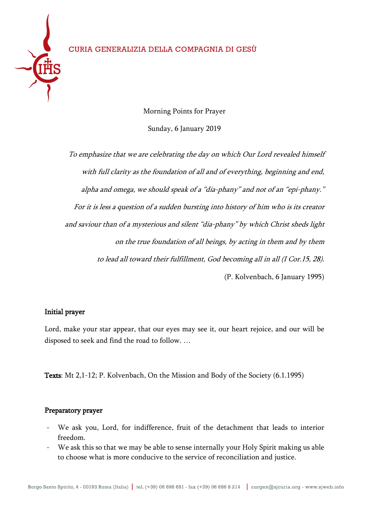

Morning Points for Prayer Sunday, 6 January 2019

To emphasize that we are celebrating the day on which Our Lord revealed himself with full clarity as the foundation of all and of everything, beginning and end, alpha and omega, we should speak of a "dia-phany" and not of an "epi-phany." For it is less a question of a sudden bursting into history of him who is its creator and saviour than of a mysterious and silent "dia-phany" by which Christ sheds light on the true foundation of all beings, by acting in them and by them to lead all toward their fulfillment, God becoming all in all (I Cor.15, 28). (P. Kolvenbach, 6 January 1995)

# Initial prayer

Lord, make your star appear, that our eyes may see it, our heart rejoice, and our will be disposed to seek and find the road to follow. …

Texts: Mt 2,1-12; P. Kolvenbach, On the Mission and Body of the Society (6.1.1995)

# Preparatory prayer

- We ask you, Lord, for indifference, fruit of the detachment that leads to interior freedom.
- We ask this so that we may be able to sense internally your Holy Spirit making us able to choose what is more conducive to the service of reconciliation and justice.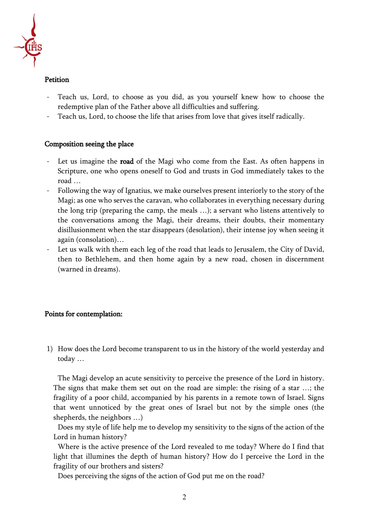

### Petition

- Teach us, Lord, to choose as you did, as you yourself knew how to choose the redemptive plan of the Father above all difficulties and suffering.
- Teach us, Lord, to choose the life that arises from love that gives itself radically.

### Composition seeing the place

- Let us imagine the **road** of the Magi who come from the East. As often happens in Scripture, one who opens oneself to God and trusts in God immediately takes to the road …
- Following the way of Ignatius, we make ourselves present interiorly to the story of the Magi; as one who serves the caravan, who collaborates in everything necessary during the long trip (preparing the camp, the meals …); a servant who listens attentively to the conversations among the Magi, their dreams, their doubts, their momentary disillusionment when the star disappears (desolation), their intense joy when seeing it again (consolation)…
- Let us walk with them each leg of the road that leads to Jerusalem, the City of David, then to Bethlehem, and then home again by a new road, chosen in discernment (warned in dreams).

### Points for contemplation:

1) How does the Lord become transparent to us in the history of the world yesterday and today …

The Magi develop an acute sensitivity to perceive the presence of the Lord in history. The signs that make them set out on the road are simple: the rising of a star …; the fragility of a poor child, accompanied by his parents in a remote town of Israel. Signs that went unnoticed by the great ones of Israel but not by the simple ones (the shepherds, the neighbors …)

Does my style of life help me to develop my sensitivity to the signs of the action of the Lord in human history?

Where is the active presence of the Lord revealed to me today? Where do I find that light that illumines the depth of human history? How do I perceive the Lord in the fragility of our brothers and sisters?

Does perceiving the signs of the action of God put me on the road?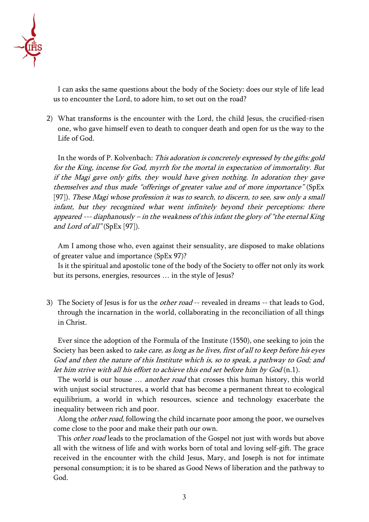

I can asks the same questions about the body of the Society: does our style of life lead us to encounter the Lord, to adore him, to set out on the road?

2) What transforms is the encounter with the Lord, the child Jesus, the crucified-risen one, who gave himself even to death to conquer death and open for us the way to the Life of God.

In the words of P. Kolvenbach: This adoration is concretely expressed by the gifts: gold for the King, incense for God, myrrh for the mortal in expectation of immortality. But if the Magi gave only gifts, they would have given nothing. In adoration they gave themselves and thus made "offerings of greater value and of more importance" (SpEx [97]). These Magi whose profession it was to search, to discern, to see, saw only a small infant, but they recognized what went infinitely beyond their perceptions: there appeared --- diaphanously – in the weakness of this infant the glory of "the eternal King" and Lord of all" (SpEx [97]).

Am I among those who, even against their sensuality, are disposed to make oblations of greater value and importance (SpEx 97)?

Is it the spiritual and apostolic tone of the body of the Society to offer not only its work but its persons, energies, resources … in the style of Jesus?

3) The Society of Jesus is for us the *other road* -- revealed in dreams -- that leads to God, through the incarnation in the world, collaborating in the reconciliation of all things in Christ.

Ever since the adoption of the Formula of the Institute (1550), one seeking to join the Society has been asked to take care, as long as he lives, first of all to keep before his eyes God and then the nature of this Institute which is, so to speak, a pathway to God; and let him strive with all his effort to achieve this end set before him by God (n.1).

The world is our house ... *another road* that crosses this human history, this world with unjust social structures, a world that has become a permanent threat to ecological equilibrium, a world in which resources, science and technology exacerbate the inequality between rich and poor.

Along the *other road*, following the child incarnate poor among the poor, we ourselves come close to the poor and make their path our own.

This *other road* leads to the proclamation of the Gospel not just with words but above all with the witness of life and with works born of total and loving self-gift. The grace received in the encounter with the child Jesus, Mary, and Joseph is not for intimate personal consumption; it is to be shared as Good News of liberation and the pathway to God.